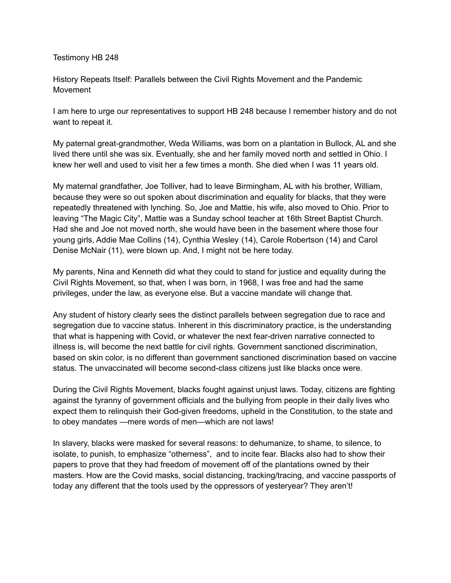## Testimony HB 248

History Repeats Itself: Parallels between the Civil Rights Movement and the Pandemic Movement

I am here to urge our representatives to support HB 248 because I remember history and do not want to repeat it.

My paternal great-grandmother, Weda Williams, was born on a plantation in Bullock, AL and she lived there until she was six. Eventually, she and her family moved north and settled in Ohio. I knew her well and used to visit her a few times a month. She died when I was 11 years old.

My maternal grandfather, Joe Tolliver, had to leave Birmingham, AL with his brother, William, because they were so out spoken about discrimination and equality for blacks, that they were repeatedly threatened with lynching. So, Joe and Mattie, his wife, also moved to Ohio. Prior to leaving "The Magic City", Mattie was a Sunday school teacher at 16th Street Baptist Church. Had she and Joe not moved north, she would have been in the basement where those four young girls, Addie Mae Collins (14), Cynthia Wesley (14), Carole Robertson (14) and Carol Denise McNair (11), were blown up. And, I might not be here today.

My parents, Nina and Kenneth did what they could to stand for justice and equality during the Civil Rights Movement, so that, when I was born, in 1968, I was free and had the same privileges, under the law, as everyone else. But a vaccine mandate will change that.

Any student of history clearly sees the distinct parallels between segregation due to race and segregation due to vaccine status. Inherent in this discriminatory practice, is the understanding that what is happening with Covid, or whatever the next fear-driven narrative connected to illness is, will become the next battle for civil rights. Government sanctioned discrimination, based on skin color, is no different than government sanctioned discrimination based on vaccine status. The unvaccinated will become second-class citizens just like blacks once were.

During the Civil Rights Movement, blacks fought against unjust laws. Today, citizens are fighting against the tyranny of government officials and the bullying from people in their daily lives who expect them to relinquish their God-given freedoms, upheld in the Constitution, to the state and to obey mandates —mere words of men—which are not laws!

In slavery, blacks were masked for several reasons: to dehumanize, to shame, to silence, to isolate, to punish, to emphasize "otherness", and to incite fear. Blacks also had to show their papers to prove that they had freedom of movement off of the plantations owned by their masters. How are the Covid masks, social distancing, tracking/tracing, and vaccine passports of today any different that the tools used by the oppressors of yesteryear? They aren't!